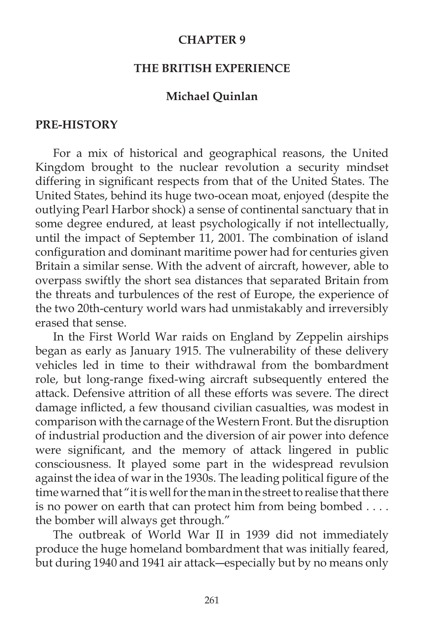#### **CHAPTER 9**

#### **THE BRITISH EXPERIENCE**

#### **Michael Quinlan**

#### **PRE-HISTORY**

 For a mix of historical and geographical reasons, the United Kingdom brought to the nuclear revolution a security mindset differing in significant respects from that of the United States. The United States, behind its huge two-ocean moat, enjoyed (despite the outlying Pearl Harbor shock) a sense of continental sanctuary that in some degree endured, at least psychologically if not intellectually, until the impact of September 11, 2001. The combination of island configuration and dominant maritime power had for centuries given Britain a similar sense. With the advent of aircraft, however, able to overpass swiftly the short sea distances that separated Britain from the threats and turbulences of the rest of Europe, the experience of the two 20th-century world wars had unmistakably and irreversibly erased that sense.

 In the First World War raids on England by Zeppelin airships began as early as January 1915. The vulnerability of these delivery vehicles led in time to their withdrawal from the bombardment role, but long-range fixed-wing aircraft subsequently entered the attack. Defensive attrition of all these efforts was severe. The direct damage inflicted, a few thousand civilian casualties, was modest in comparison with the carnage of the Western Front. But the disruption of industrial production and the diversion of air power into defence were significant, and the memory of attack lingered in public consciousness. It played some part in the widespread revulsion against the idea of war in the 1930s. The leading political figure of the time warned that "it is well for the man in the street to realise that there is no power on earth that can protect him from being bombed . . . . the bomber will always get through."

 The outbreak of World War II in 1939 did not immediately produce the huge homeland bombardment that was initially feared, but during 1940 and 1941 air attack―especially but by no means only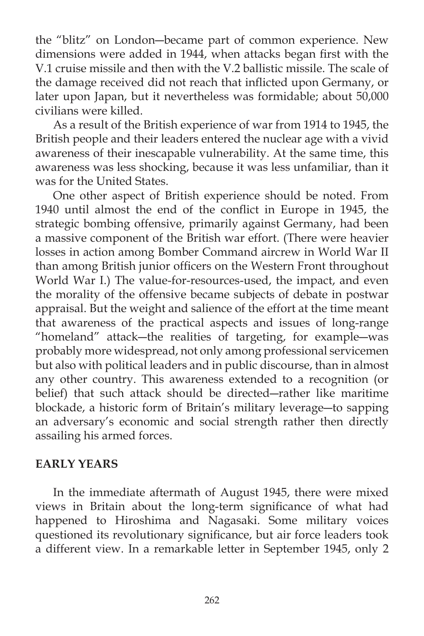the "blitz" on London―became part of common experience. New dimensions were added in 1944, when attacks began first with the V.1 cruise missile and then with the V.2 ballistic missile. The scale of the damage received did not reach that inflicted upon Germany, or later upon Japan, but it nevertheless was formidable; about 50,000 civilians were killed.

 As a result of the British experience of war from 1914 to 1945, the British people and their leaders entered the nuclear age with a vivid awareness of their inescapable vulnerability. At the same time, this awareness was less shocking, because it was less unfamiliar, than it was for the United States.

 One other aspect of British experience should be noted. From 1940 until almost the end of the conflict in Europe in 1945, the strategic bombing offensive, primarily against Germany, had been a massive component of the British war effort. (There were heavier losses in action among Bomber Command aircrew in World War II than among British junior officers on the Western Front throughout World War I.) The value-for-resources-used, the impact, and even the morality of the offensive became subjects of debate in postwar appraisal. But the weight and salience of the effort at the time meant that awareness of the practical aspects and issues of long-range "homeland" attack―the realities of targeting, for example―was probably more widespread, not only among professional servicemen but also with political leaders and in public discourse, than in almost any other country. This awareness extended to a recognition (or belief) that such attack should be directed―rather like maritime blockade, a historic form of Britain's military leverage―to sapping an adversary's economic and social strength rather then directly assailing his armed forces.

## **EARLY YEARS**

 In the immediate aftermath of August 1945, there were mixed views in Britain about the long-term significance of what had happened to Hiroshima and Nagasaki. Some military voices questioned its revolutionary significance, but air force leaders took a different view. In a remarkable letter in September 1945, only 2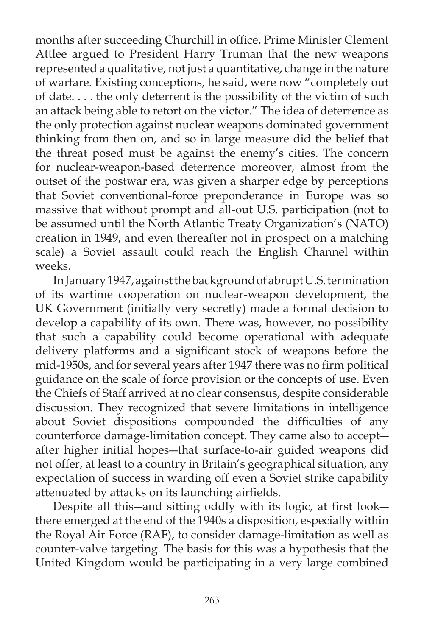months after succeeding Churchill in office, Prime Minister Clement Attlee argued to President Harry Truman that the new weapons represented a qualitative, not just a quantitative, change in the nature of warfare. Existing conceptions, he said, were now "completely out of date. . . . the only deterrent is the possibility of the victim of such an attack being able to retort on the victor." The idea of deterrence as the only protection against nuclear weapons dominated government thinking from then on, and so in large measure did the belief that the threat posed must be against the enemy's cities. The concern for nuclear-weapon-based deterrence moreover, almost from the outset of the postwar era, was given a sharper edge by perceptions that Soviet conventional-force preponderance in Europe was so massive that without prompt and all-out U.S. participation (not to be assumed until the North Atlantic Treaty Organization's (NATO) creation in 1949, and even thereafter not in prospect on a matching scale) a Soviet assault could reach the English Channel within weeks.

 In January 1947, against the background of abrupt U.S. termination of its wartime cooperation on nuclear-weapon development, the UK Government (initially very secretly) made a formal decision to develop a capability of its own. There was, however, no possibility that such a capability could become operational with adequate delivery platforms and a significant stock of weapons before the mid-1950s, and for several years after 1947 there was no firm political guidance on the scale of force provision or the concepts of use. Even the Chiefs of Staff arrived at no clear consensus, despite considerable discussion. They recognized that severe limitations in intelligence about Soviet dispositions compounded the difficulties of any counterforce damage-limitation concept. They came also to accept― after higher initial hopes―that surface-to-air guided weapons did not offer, at least to a country in Britain's geographical situation, any expectation of success in warding off even a Soviet strike capability attenuated by attacks on its launching airfields.

Despite all this—and sitting oddly with its logic, at first look there emerged at the end of the 1940s a disposition, especially within the Royal Air Force (RAF), to consider damage-limitation as well as counter-valve targeting. The basis for this was a hypothesis that the United Kingdom would be participating in a very large combined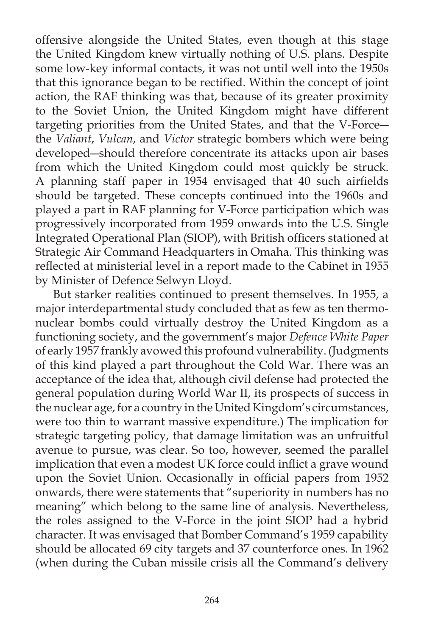offensive alongside the United States, even though at this stage the United Kingdom knew virtually nothing of U.S. plans. Despite some low-key informal contacts, it was not until well into the 1950s that this ignorance began to be rectified. Within the concept of joint action, the RAF thinking was that, because of its greater proximity to the Soviet Union, the United Kingdom might have different targeting priorities from the United States, and that the V-Force― the *Valiant*, *Vulcan*, and *Victor* strategic bombers which were being developed―should therefore concentrate its attacks upon air bases from which the United Kingdom could most quickly be struck. A planning staff paper in 1954 envisaged that 40 such airfields should be targeted. These concepts continued into the 1960s and played a part in RAF planning for V-Force participation which was progressively incorporated from 1959 onwards into the U.S. Single Integrated Operational Plan (SIOP), with British officers stationed at Strategic Air Command Headquarters in Omaha. This thinking was reflected at ministerial level in a report made to the Cabinet in 1955 by Minister of Defence Selwyn Lloyd.

 But starker realities continued to present themselves. In 1955, a major interdepartmental study concluded that as few as ten thermonuclear bombs could virtually destroy the United Kingdom as a functioning society, and the government's major *Defence White Paper* of early 1957 frankly avowed this profound vulnerability. (Judgments of this kind played a part throughout the Cold War. There was an acceptance of the idea that, although civil defense had protected the general population during World War II, its prospects of success in the nuclear age, for a country in the United Kingdom's circumstances, were too thin to warrant massive expenditure.) The implication for strategic targeting policy, that damage limitation was an unfruitful avenue to pursue, was clear. So too, however, seemed the parallel implication that even a modest UK force could inflict a grave wound upon the Soviet Union. Occasionally in official papers from 1952 onwards, there were statements that "superiority in numbers has no meaning" which belong to the same line of analysis. Nevertheless, the roles assigned to the V-Force in the joint SIOP had a hybrid character. It was envisaged that Bomber Command's 1959 capability should be allocated 69 city targets and 37 counterforce ones. In 1962 (when during the Cuban missile crisis all the Command's delivery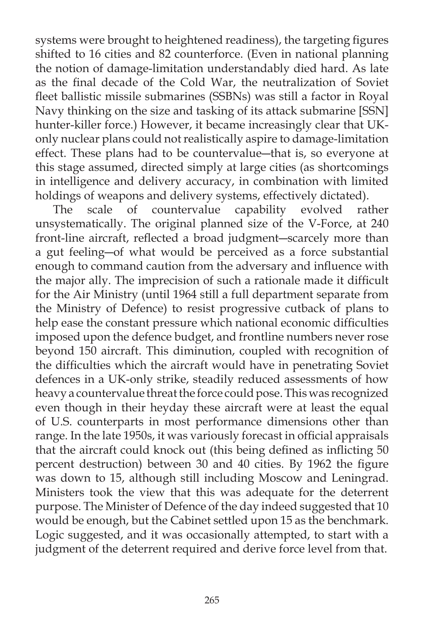systems were brought to heightened readiness), the targeting figures shifted to 16 cities and 82 counterforce. (Even in national planning the notion of damage-limitation understandably died hard. As late as the final decade of the Cold War, the neutralization of Soviet fleet ballistic missile submarines (SSBNs) was still a factor in Royal Navy thinking on the size and tasking of its attack submarine [SSN] hunter-killer force.) However, it became increasingly clear that UKonly nuclear plans could not realistically aspire to damage-limitation effect. These plans had to be countervalue―that is, so everyone at this stage assumed, directed simply at large cities (as shortcomings in intelligence and delivery accuracy, in combination with limited holdings of weapons and delivery systems, effectively dictated).

 The scale of countervalue capability evolved rather unsystematically. The original planned size of the V-Force, at 240 front-line aircraft, reflected a broad judgment-scarcely more than a gut feeling―of what would be perceived as a force substantial enough to command caution from the adversary and influence with the major ally. The imprecision of such a rationale made it difficult for the Air Ministry (until 1964 still a full department separate from the Ministry of Defence) to resist progressive cutback of plans to help ease the constant pressure which national economic difficulties imposed upon the defence budget, and frontline numbers never rose beyond 150 aircraft. This diminution, coupled with recognition of the difficulties which the aircraft would have in penetrating Soviet defences in a UK-only strike, steadily reduced assessments of how heavy a countervalue threat the force could pose. This was recognized even though in their heyday these aircraft were at least the equal of U.S. counterparts in most performance dimensions other than range. In the late 1950s, it was variously forecast in official appraisals that the aircraft could knock out (this being defined as inflicting 50 percent destruction) between 30 and 40 cities. By 1962 the figure was down to 15, although still including Moscow and Leningrad. Ministers took the view that this was adequate for the deterrent purpose. The Minister of Defence of the day indeed suggested that 10 would be enough, but the Cabinet settled upon 15 as the benchmark. Logic suggested, and it was occasionally attempted, to start with a judgment of the deterrent required and derive force level from that.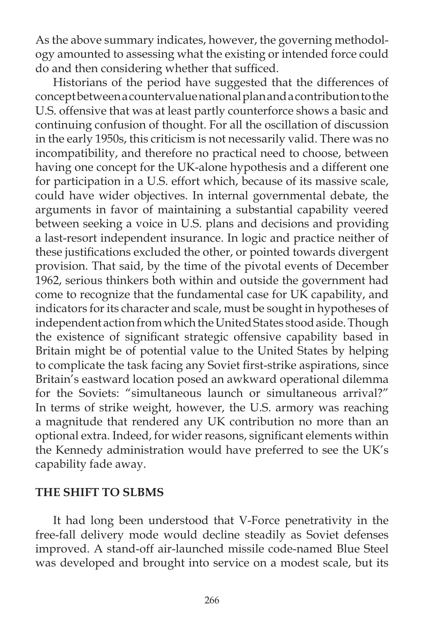As the above summary indicates, however, the governing methodology amounted to assessing what the existing or intended force could do and then considering whether that sufficed.

 Historians of the period have suggested that the differences of concept between a countervalue national plan and a contribution to the U.S. offensive that was at least partly counterforce shows a basic and continuing confusion of thought. For all the oscillation of discussion in the early 1950s, this criticism is not necessarily valid. There was no incompatibility, and therefore no practical need to choose, between having one concept for the UK-alone hypothesis and a different one for participation in a U.S. effort which, because of its massive scale, could have wider objectives. In internal governmental debate, the arguments in favor of maintaining a substantial capability veered between seeking a voice in U.S. plans and decisions and providing a last-resort independent insurance. In logic and practice neither of these justifications excluded the other, or pointed towards divergent provision. That said, by the time of the pivotal events of December 1962, serious thinkers both within and outside the government had come to recognize that the fundamental case for UK capability, and indicators for its character and scale, must be sought in hypotheses of independent action from which the United States stood aside. Though the existence of significant strategic offensive capability based in Britain might be of potential value to the United States by helping to complicate the task facing any Soviet first-strike aspirations, since Britain's eastward location posed an awkward operational dilemma for the Soviets: "simultaneous launch or simultaneous arrival?" In terms of strike weight, however, the U.S. armory was reaching a magnitude that rendered any UK contribution no more than an optional extra. Indeed, for wider reasons, significant elements within the Kennedy administration would have preferred to see the UK's capability fade away.

## **THE SHIFT TO SLBMS**

 It had long been understood that V-Force penetrativity in the free-fall delivery mode would decline steadily as Soviet defenses improved. A stand-off air-launched missile code-named Blue Steel was developed and brought into service on a modest scale, but its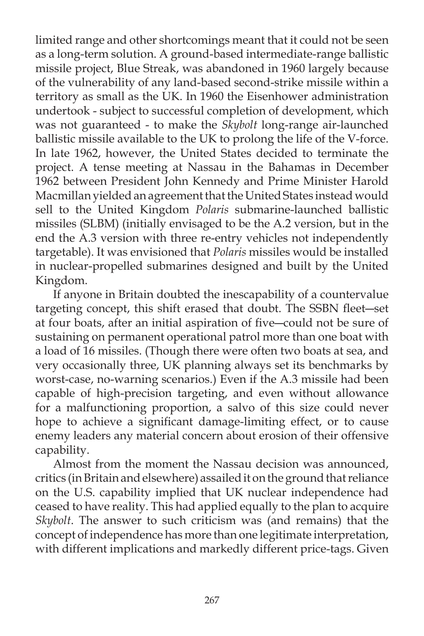limited range and other shortcomings meant that it could not be seen as a long-term solution. A ground-based intermediate-range ballistic missile project, Blue Streak, was abandoned in 1960 largely because of the vulnerability of any land-based second-strike missile within a territory as small as the UK. In 1960 the Eisenhower administration undertook - subject to successful completion of development, which was not guaranteed - to make the *Skybolt* long-range air-launched ballistic missile available to the UK to prolong the life of the V-force. In late 1962, however, the United States decided to terminate the project. A tense meeting at Nassau in the Bahamas in December 1962 between President John Kennedy and Prime Minister Harold Macmillan yielded an agreement that the United States instead would sell to the United Kingdom *Polaris* submarine-launched ballistic missiles (SLBM) (initially envisaged to be the A.2 version, but in the end the A.3 version with three re-entry vehicles not independently targetable). It was envisioned that *Polaris* missiles would be installed in nuclear-propelled submarines designed and built by the United Kingdom.

 If anyone in Britain doubted the inescapability of a countervalue targeting concept, this shift erased that doubt. The SSBN fleet-set at four boats, after an initial aspiration of five-could not be sure of sustaining on permanent operational patrol more than one boat with a load of 16 missiles. (Though there were often two boats at sea, and very occasionally three, UK planning always set its benchmarks by worst-case, no-warning scenarios.) Even if the A.3 missile had been capable of high-precision targeting, and even without allowance for a malfunctioning proportion, a salvo of this size could never hope to achieve a significant damage-limiting effect, or to cause enemy leaders any material concern about erosion of their offensive capability.

 Almost from the moment the Nassau decision was announced, critics (in Britain and elsewhere) assailed it on the ground that reliance on the U.S. capability implied that UK nuclear independence had ceased to have reality. This had applied equally to the plan to acquire *Skybolt*. The answer to such criticism was (and remains) that the concept of independence has more than one legitimate interpretation, with different implications and markedly different price-tags. Given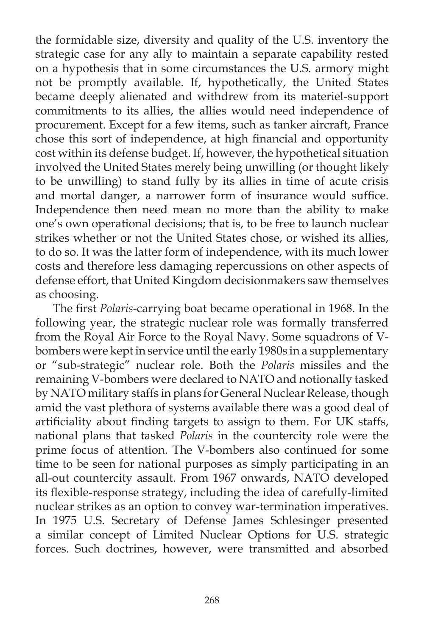the formidable size, diversity and quality of the U.S. inventory the strategic case for any ally to maintain a separate capability rested on a hypothesis that in some circumstances the U.S. armory might not be promptly available. If, hypothetically, the United States became deeply alienated and withdrew from its materiel-support commitments to its allies, the allies would need independence of procurement. Except for a few items, such as tanker aircraft, France chose this sort of independence, at high financial and opportunity cost within its defense budget. If, however, the hypothetical situation involved the United States merely being unwilling (or thought likely to be unwilling) to stand fully by its allies in time of acute crisis and mortal danger, a narrower form of insurance would suffice. Independence then need mean no more than the ability to make one's own operational decisions; that is, to be free to launch nuclear strikes whether or not the United States chose, or wished its allies, to do so. It was the latter form of independence, with its much lower costs and therefore less damaging repercussions on other aspects of defense effort, that United Kingdom decisionmakers saw themselves as choosing.

The first *Polaris*-carrying boat became operational in 1968. In the following year, the strategic nuclear role was formally transferred from the Royal Air Force to the Royal Navy. Some squadrons of Vbombers were kept in service until the early 1980s in a supplementary or "sub-strategic" nuclear role. Both the *Polaris* missiles and the remaining V-bombers were declared to NATO and notionally tasked by NATO military staffs in plans for General Nuclear Release, though amid the vast plethora of systems available there was a good deal of artificiality about finding targets to assign to them. For UK staffs, national plans that tasked *Polaris* in the countercity role were the prime focus of attention. The V-bombers also continued for some time to be seen for national purposes as simply participating in an all-out countercity assault. From 1967 onwards, NATO developed its flexible-response strategy, including the idea of carefully-limited nuclear strikes as an option to convey war-termination imperatives. In 1975 U.S. Secretary of Defense James Schlesinger presented a similar concept of Limited Nuclear Options for U.S. strategic forces. Such doctrines, however, were transmitted and absorbed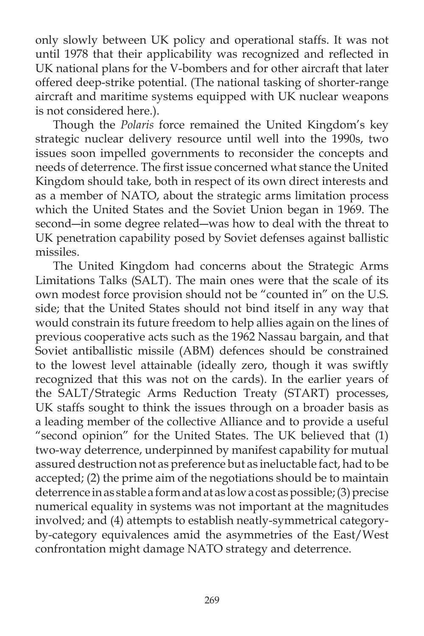only slowly between UK policy and operational staffs. It was not until 1978 that their applicability was recognized and reflected in UK national plans for the V-bombers and for other aircraft that later offered deep-strike potential. (The national tasking of shorter-range aircraft and maritime systems equipped with UK nuclear weapons is not considered here.).

 Though the *Polaris* force remained the United Kingdom's key strategic nuclear delivery resource until well into the 1990s, two issues soon impelled governments to reconsider the concepts and needs of deterrence. The first issue concerned what stance the United Kingdom should take, both in respect of its own direct interests and as a member of NATO, about the strategic arms limitation process which the United States and the Soviet Union began in 1969. The second―in some degree related―was how to deal with the threat to UK penetration capability posed by Soviet defenses against ballistic missiles.

 The United Kingdom had concerns about the Strategic Arms Limitations Talks (SALT). The main ones were that the scale of its own modest force provision should not be "counted in" on the U.S. side; that the United States should not bind itself in any way that would constrain its future freedom to help allies again on the lines of previous cooperative acts such as the 1962 Nassau bargain, and that Soviet antiballistic missile (ABM) defences should be constrained to the lowest level attainable (ideally zero, though it was swiftly recognized that this was not on the cards). In the earlier years of the SALT/Strategic Arms Reduction Treaty (START) processes, UK staffs sought to think the issues through on a broader basis as a leading member of the collective Alliance and to provide a useful "second opinion" for the United States. The UK believed that (1) two-way deterrence, underpinned by manifest capability for mutual assured destruction not as preference but as ineluctable fact, had to be accepted; (2) the prime aim of the negotiations should be to maintain deterrence in as stable a form and at as low a cost as possible; (3) precise numerical equality in systems was not important at the magnitudes involved; and (4) attempts to establish neatly-symmetrical categoryby-category equivalences amid the asymmetries of the East/West confrontation might damage NATO strategy and deterrence.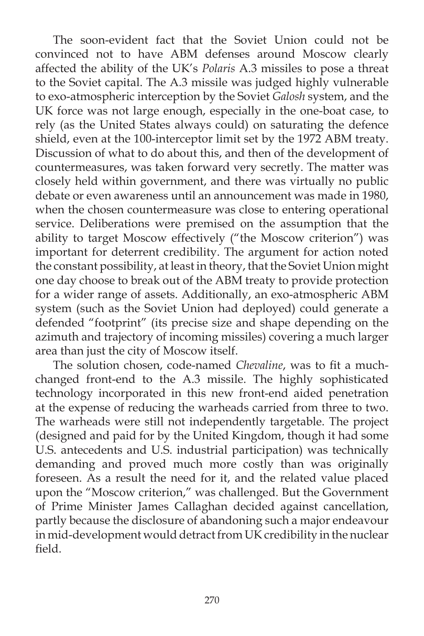The soon-evident fact that the Soviet Union could not be convinced not to have ABM defenses around Moscow clearly affected the ability of the UK's *Polaris* A.3 missiles to pose a threat to the Soviet capital. The A.3 missile was judged highly vulnerable to exo-atmospheric interception by the Soviet *Galosh* system, and the UK force was not large enough, especially in the one-boat case, to rely (as the United States always could) on saturating the defence shield, even at the 100-interceptor limit set by the 1972 ABM treaty. Discussion of what to do about this, and then of the development of countermeasures, was taken forward very secretly. The matter was closely held within government, and there was virtually no public debate or even awareness until an announcement was made in 1980, when the chosen countermeasure was close to entering operational service. Deliberations were premised on the assumption that the ability to target Moscow effectively ("the Moscow criterion") was important for deterrent credibility. The argument for action noted the constant possibility, at least in theory, that the Soviet Union might one day choose to break out of the ABM treaty to provide protection for a wider range of assets. Additionally, an exo-atmospheric ABM system (such as the Soviet Union had deployed) could generate a defended "footprint" (its precise size and shape depending on the azimuth and trajectory of incoming missiles) covering a much larger area than just the city of Moscow itself.

The solution chosen, code-named *Chevaline*, was to fit a muchchanged front-end to the A.3 missile. The highly sophisticated technology incorporated in this new front-end aided penetration at the expense of reducing the warheads carried from three to two. The warheads were still not independently targetable. The project (designed and paid for by the United Kingdom, though it had some U.S. antecedents and U.S. industrial participation) was technically demanding and proved much more costly than was originally foreseen. As a result the need for it, and the related value placed upon the "Moscow criterion," was challenged. But the Government of Prime Minister James Callaghan decided against cancellation, partly because the disclosure of abandoning such a major endeavour in mid-development would detract from UK credibility in the nuclear field.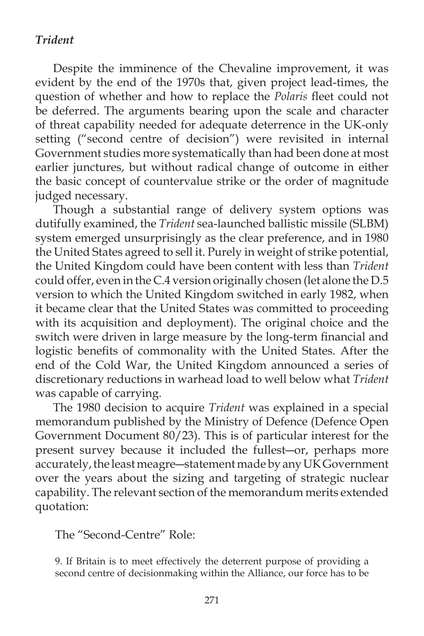# *Trident*

 Despite the imminence of the Chevaline improvement, it was evident by the end of the 1970s that, given project lead-times, the question of whether and how to replace the *Polaris* fleet could not be deferred. The arguments bearing upon the scale and character of threat capability needed for adequate deterrence in the UK-only setting ("second centre of decision") were revisited in internal Government studies more systematically than had been done at most earlier junctures, but without radical change of outcome in either the basic concept of countervalue strike or the order of magnitude judged necessary.

 Though a substantial range of delivery system options was dutifully examined, the *Trident* sea-launched ballistic missile (SLBM) system emerged unsurprisingly as the clear preference, and in 1980 the United States agreed to sell it. Purely in weight of strike potential, the United Kingdom could have been content with less than *Trident* could offer, even in the C.4 version originally chosen (let alone the D.5 version to which the United Kingdom switched in early 1982, when it became clear that the United States was committed to proceeding with its acquisition and deployment). The original choice and the switch were driven in large measure by the long-term financial and logistic benefits of commonality with the United States. After the end of the Cold War, the United Kingdom announced a series of discretionary reductions in warhead load to well below what *Trident* was capable of carrying.

 The 1980 decision to acquire *Trident* was explained in a special memorandum published by the Ministry of Defence (Defence Open Government Document 80/23). This is of particular interest for the present survey because it included the fullest―or, perhaps more accurately, the least meagre―statement made by any UK Government over the years about the sizing and targeting of strategic nuclear capability. The relevant section of the memorandum merits extended quotation:

The "Second-Centre" Role:

9. If Britain is to meet effectively the deterrent purpose of providing a second centre of decisionmaking within the Alliance, our force has to be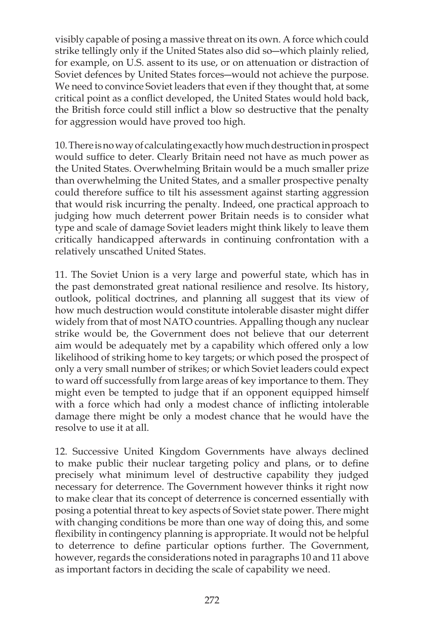visibly capable of posing a massive threat on its own. A force which could strike tellingly only if the United States also did so―which plainly relied, for example, on U.S. assent to its use, or on attenuation or distraction of Soviet defences by United States forces―would not achieve the purpose. We need to convince Soviet leaders that even if they thought that, at some critical point as a conflict developed, the United States would hold back, the British force could still inflict a blow so destructive that the penalty for aggression would have proved too high.

10. There is no way of calculating exactly how much destruction in prospect would suffice to deter. Clearly Britain need not have as much power as the United States. Overwhelming Britain would be a much smaller prize than overwhelming the United States, and a smaller prospective penalty could therefore suffice to tilt his assessment against starting aggression that would risk incurring the penalty. Indeed, one practical approach to judging how much deterrent power Britain needs is to consider what type and scale of damage Soviet leaders might think likely to leave them critically handicapped afterwards in continuing confrontation with a relatively unscathed United States.

11. The Soviet Union is a very large and powerful state, which has in the past demonstrated great national resilience and resolve. Its history, outlook, political doctrines, and planning all suggest that its view of how much destruction would constitute intolerable disaster might differ widely from that of most NATO countries. Appalling though any nuclear strike would be, the Government does not believe that our deterrent aim would be adequately met by a capability which offered only a low likelihood of striking home to key targets; or which posed the prospect of only a very small number of strikes; or which Soviet leaders could expect to ward off successfully from large areas of key importance to them. They might even be tempted to judge that if an opponent equipped himself with a force which had only a modest chance of inflicting intolerable damage there might be only a modest chance that he would have the resolve to use it at all.

12. Successive United Kingdom Governments have always declined to make public their nuclear targeting policy and plans, or to define precisely what minimum level of destructive capability they judged necessary for deterrence. The Government however thinks it right now to make clear that its concept of deterrence is concerned essentially with posing a potential threat to key aspects of Soviet state power. There might with changing conditions be more than one way of doing this, and some flexibility in contingency planning is appropriate. It would not be helpful to deterrence to define particular options further. The Government, however, regards the considerations noted in paragraphs 10 and 11 above as important factors in deciding the scale of capability we need.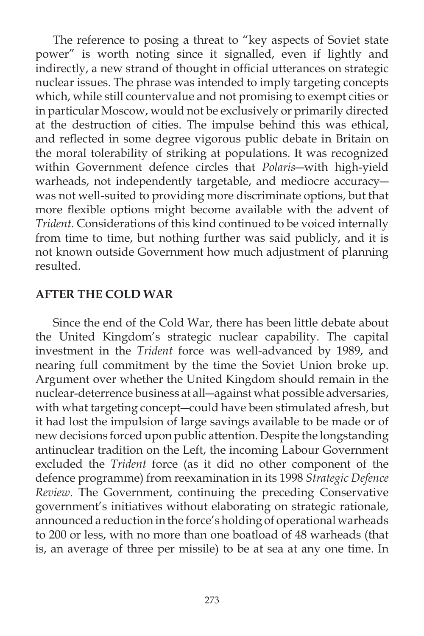The reference to posing a threat to "key aspects of Soviet state power" is worth noting since it signalled, even if lightly and indirectly, a new strand of thought in official utterances on strategic nuclear issues. The phrase was intended to imply targeting concepts which, while still countervalue and not promising to exempt cities or in particular Moscow, would not be exclusively or primarily directed at the destruction of cities. The impulse behind this was ethical, and reflected in some degree vigorous public debate in Britain on the moral tolerability of striking at populations. It was recognized within Government defence circles that *Polaris*―with high-yield warheads, not independently targetable, and mediocre accuracy― was not well-suited to providing more discriminate options, but that more flexible options might become available with the advent of *Trident*. Considerations of this kind continued to be voiced internally from time to time, but nothing further was said publicly, and it is not known outside Government how much adjustment of planning resulted.

### **AFTER THE COLD WAR**

 Since the end of the Cold War, there has been little debate about the United Kingdom's strategic nuclear capability. The capital investment in the *Trident* force was well-advanced by 1989, and nearing full commitment by the time the Soviet Union broke up. Argument over whether the United Kingdom should remain in the nuclear-deterrence business at all―against what possible adversaries, with what targeting concept―could have been stimulated afresh, but it had lost the impulsion of large savings available to be made or of new decisions forced upon public attention. Despite the longstanding antinuclear tradition on the Left, the incoming Labour Government excluded the *Trident* force (as it did no other component of the defence programme) from reexamination in its 1998 *Strategic Defence Review*. The Government, continuing the preceding Conservative government's initiatives without elaborating on strategic rationale, announced a reduction in the force's holding of operational warheads to 200 or less, with no more than one boatload of 48 warheads (that is, an average of three per missile) to be at sea at any one time. In